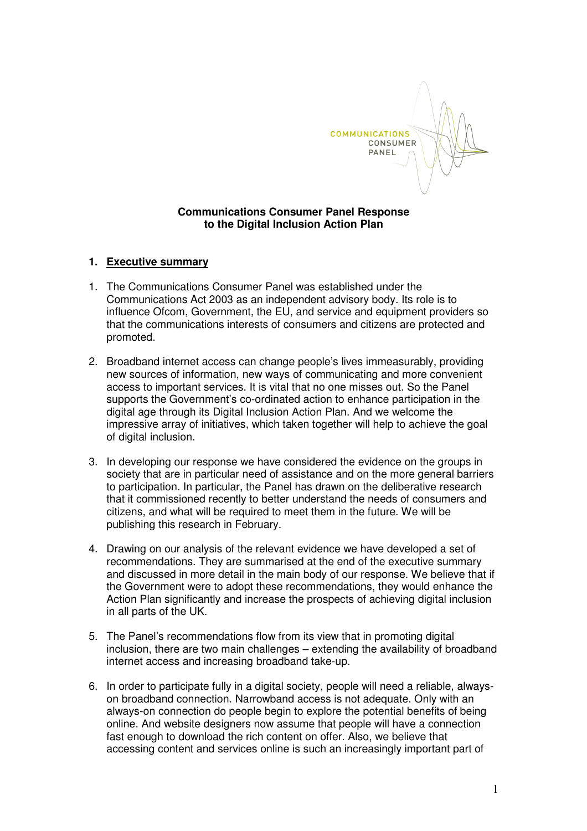

### **Communications Consumer Panel Response to the Digital Inclusion Action Plan**

#### **1. Executive summary**

- 1. The Communications Consumer Panel was established under the Communications Act 2003 as an independent advisory body. Its role is to influence Ofcom, Government, the EU, and service and equipment providers so that the communications interests of consumers and citizens are protected and promoted.
- 2. Broadband internet access can change people's lives immeasurably, providing new sources of information, new ways of communicating and more convenient access to important services. It is vital that no one misses out. So the Panel supports the Government's co-ordinated action to enhance participation in the digital age through its Digital Inclusion Action Plan. And we welcome the impressive array of initiatives, which taken together will help to achieve the goal of digital inclusion.
- 3. In developing our response we have considered the evidence on the groups in society that are in particular need of assistance and on the more general barriers to participation. In particular, the Panel has drawn on the deliberative research that it commissioned recently to better understand the needs of consumers and citizens, and what will be required to meet them in the future. We will be publishing this research in February.
- 4. Drawing on our analysis of the relevant evidence we have developed a set of recommendations. They are summarised at the end of the executive summary and discussed in more detail in the main body of our response. We believe that if the Government were to adopt these recommendations, they would enhance the Action Plan significantly and increase the prospects of achieving digital inclusion in all parts of the UK.
- 5. The Panel's recommendations flow from its view that in promoting digital inclusion, there are two main challenges – extending the availability of broadband internet access and increasing broadband take-up.
- 6. In order to participate fully in a digital society, people will need a reliable, alwayson broadband connection. Narrowband access is not adequate. Only with an always-on connection do people begin to explore the potential benefits of being online. And website designers now assume that people will have a connection fast enough to download the rich content on offer. Also, we believe that accessing content and services online is such an increasingly important part of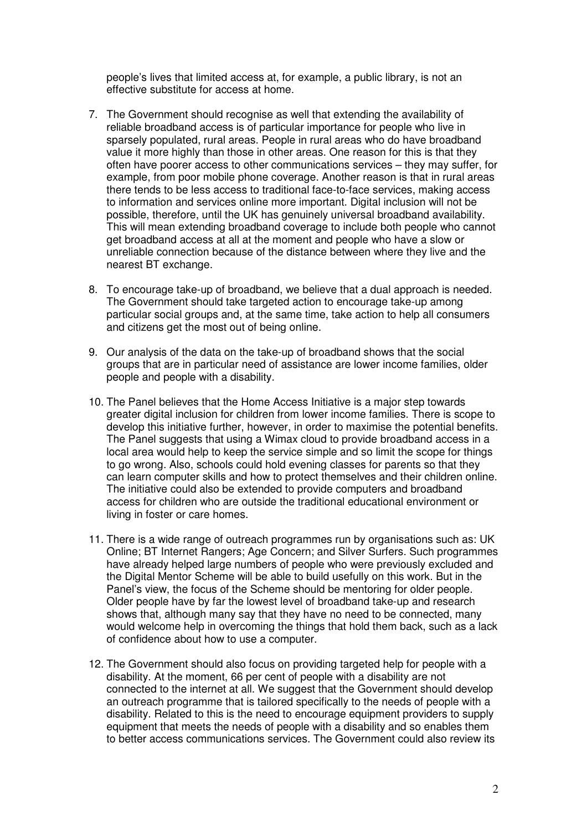people's lives that limited access at, for example, a public library, is not an effective substitute for access at home.

- 7. The Government should recognise as well that extending the availability of reliable broadband access is of particular importance for people who live in sparsely populated, rural areas. People in rural areas who do have broadband value it more highly than those in other areas. One reason for this is that they often have poorer access to other communications services – they may suffer, for example, from poor mobile phone coverage. Another reason is that in rural areas there tends to be less access to traditional face-to-face services, making access to information and services online more important. Digital inclusion will not be possible, therefore, until the UK has genuinely universal broadband availability. This will mean extending broadband coverage to include both people who cannot get broadband access at all at the moment and people who have a slow or unreliable connection because of the distance between where they live and the nearest BT exchange.
- 8. To encourage take-up of broadband, we believe that a dual approach is needed. The Government should take targeted action to encourage take-up among particular social groups and, at the same time, take action to help all consumers and citizens get the most out of being online.
- 9. Our analysis of the data on the take-up of broadband shows that the social groups that are in particular need of assistance are lower income families, older people and people with a disability.
- 10. The Panel believes that the Home Access Initiative is a major step towards greater digital inclusion for children from lower income families. There is scope to develop this initiative further, however, in order to maximise the potential benefits. The Panel suggests that using a Wimax cloud to provide broadband access in a local area would help to keep the service simple and so limit the scope for things to go wrong. Also, schools could hold evening classes for parents so that they can learn computer skills and how to protect themselves and their children online. The initiative could also be extended to provide computers and broadband access for children who are outside the traditional educational environment or living in foster or care homes.
- 11. There is a wide range of outreach programmes run by organisations such as: UK Online; BT Internet Rangers; Age Concern; and Silver Surfers. Such programmes have already helped large numbers of people who were previously excluded and the Digital Mentor Scheme will be able to build usefully on this work. But in the Panel's view, the focus of the Scheme should be mentoring for older people. Older people have by far the lowest level of broadband take-up and research shows that, although many say that they have no need to be connected, many would welcome help in overcoming the things that hold them back, such as a lack of confidence about how to use a computer.
- 12. The Government should also focus on providing targeted help for people with a disability. At the moment, 66 per cent of people with a disability are not connected to the internet at all. We suggest that the Government should develop an outreach programme that is tailored specifically to the needs of people with a disability. Related to this is the need to encourage equipment providers to supply equipment that meets the needs of people with a disability and so enables them to better access communications services. The Government could also review its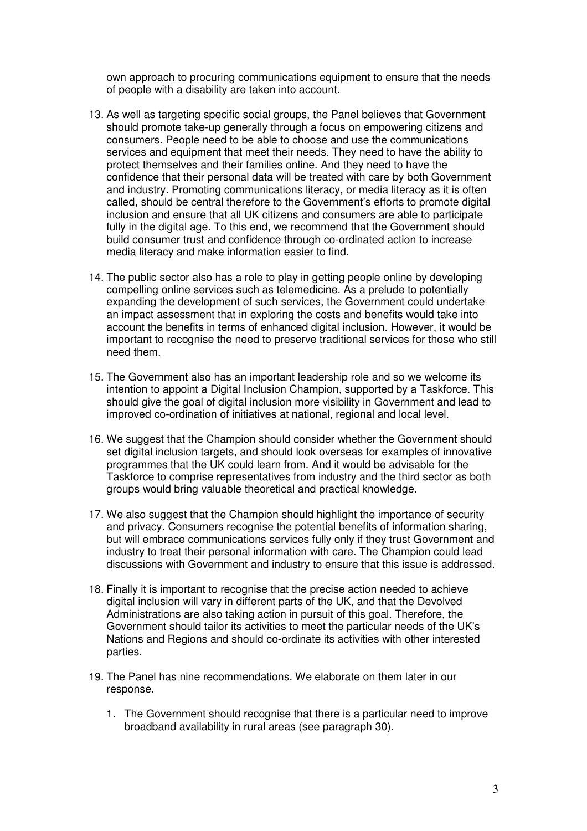own approach to procuring communications equipment to ensure that the needs of people with a disability are taken into account.

- 13. As well as targeting specific social groups, the Panel believes that Government should promote take-up generally through a focus on empowering citizens and consumers. People need to be able to choose and use the communications services and equipment that meet their needs. They need to have the ability to protect themselves and their families online. And they need to have the confidence that their personal data will be treated with care by both Government and industry. Promoting communications literacy, or media literacy as it is often called, should be central therefore to the Government's efforts to promote digital inclusion and ensure that all UK citizens and consumers are able to participate fully in the digital age. To this end, we recommend that the Government should build consumer trust and confidence through co-ordinated action to increase media literacy and make information easier to find.
- 14. The public sector also has a role to play in getting people online by developing compelling online services such as telemedicine. As a prelude to potentially expanding the development of such services, the Government could undertake an impact assessment that in exploring the costs and benefits would take into account the benefits in terms of enhanced digital inclusion. However, it would be important to recognise the need to preserve traditional services for those who still need them.
- 15. The Government also has an important leadership role and so we welcome its intention to appoint a Digital Inclusion Champion, supported by a Taskforce. This should give the goal of digital inclusion more visibility in Government and lead to improved co-ordination of initiatives at national, regional and local level.
- 16. We suggest that the Champion should consider whether the Government should set digital inclusion targets, and should look overseas for examples of innovative programmes that the UK could learn from. And it would be advisable for the Taskforce to comprise representatives from industry and the third sector as both groups would bring valuable theoretical and practical knowledge.
- 17. We also suggest that the Champion should highlight the importance of security and privacy. Consumers recognise the potential benefits of information sharing, but will embrace communications services fully only if they trust Government and industry to treat their personal information with care. The Champion could lead discussions with Government and industry to ensure that this issue is addressed.
- 18. Finally it is important to recognise that the precise action needed to achieve digital inclusion will vary in different parts of the UK, and that the Devolved Administrations are also taking action in pursuit of this goal. Therefore, the Government should tailor its activities to meet the particular needs of the UK's Nations and Regions and should co-ordinate its activities with other interested parties.
- 19. The Panel has nine recommendations. We elaborate on them later in our response.
	- 1. The Government should recognise that there is a particular need to improve broadband availability in rural areas (see paragraph 30).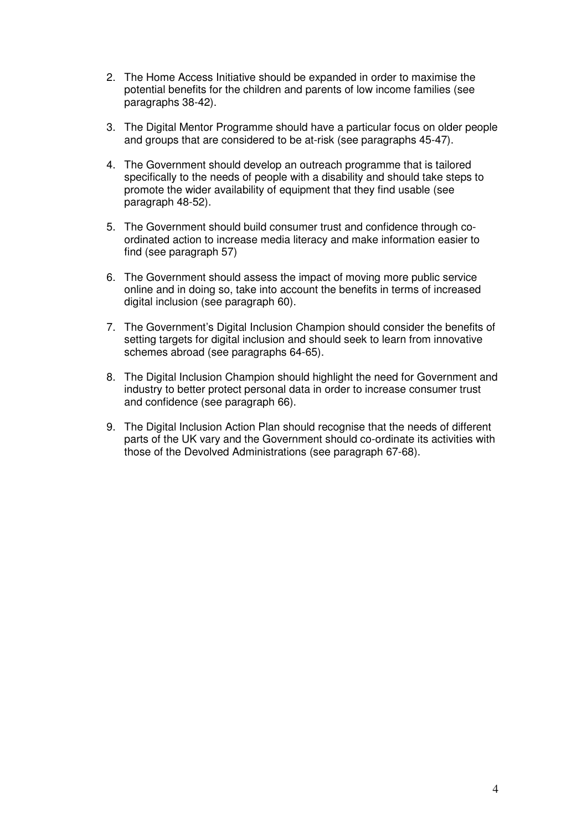- 2. The Home Access Initiative should be expanded in order to maximise the potential benefits for the children and parents of low income families (see paragraphs 38-42).
- 3. The Digital Mentor Programme should have a particular focus on older people and groups that are considered to be at-risk (see paragraphs 45-47).
- 4. The Government should develop an outreach programme that is tailored specifically to the needs of people with a disability and should take steps to promote the wider availability of equipment that they find usable (see paragraph 48-52).
- 5. The Government should build consumer trust and confidence through coordinated action to increase media literacy and make information easier to find (see paragraph 57)
- 6. The Government should assess the impact of moving more public service online and in doing so, take into account the benefits in terms of increased digital inclusion (see paragraph 60).
- 7. The Government's Digital Inclusion Champion should consider the benefits of setting targets for digital inclusion and should seek to learn from innovative schemes abroad (see paragraphs 64-65).
- 8. The Digital Inclusion Champion should highlight the need for Government and industry to better protect personal data in order to increase consumer trust and confidence (see paragraph 66).
- 9. The Digital Inclusion Action Plan should recognise that the needs of different parts of the UK vary and the Government should co-ordinate its activities with those of the Devolved Administrations (see paragraph 67-68).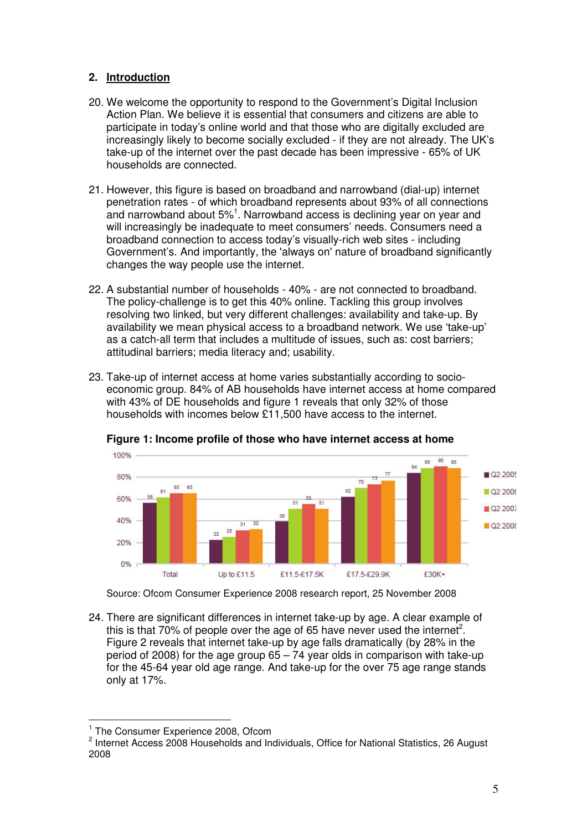# **2. Introduction**

- 20. We welcome the opportunity to respond to the Government's Digital Inclusion Action Plan. We believe it is essential that consumers and citizens are able to participate in today's online world and that those who are digitally excluded are increasingly likely to become socially excluded - if they are not already. The UK's take-up of the internet over the past decade has been impressive - 65% of UK households are connected.
- 21. However, this figure is based on broadband and narrowband (dial-up) internet penetration rates - of which broadband represents about 93% of all connections and narrowband about 5% $^1$ . Narrowband access is declining year on year and will increasingly be inadequate to meet consumers' needs. Consumers need a broadband connection to access today's visually-rich web sites - including Government's. And importantly, the 'always on'nature of broadband significantly changes the way people use the internet.
- 22. A substantial number of households 40% are not connected to broadband. The policy-challenge is to get this 40% online. Tackling this group involves resolving two linked, but very different challenges: availability and take-up. By availability we mean physical access to a broadband network. We use 'take-up' as a catch-all term that includes a multitude of issues, such as: cost barriers; attitudinal barriers; media literacy and; usability.
- 23. Take-up of internet access at home varies substantially according to socioeconomic group. 84% of AB households have internet access at home compared with 43% of DE households and figure 1 reveals that only 32% of those households with incomes below £11,500 have access to the internet.



**Figure 1: Income profile of those who have internet access at home**

Source: Ofcom Consumer Experience 2008 research report, 25 November 2008

24. There are significant differences in internet take-up by age. A clear example of this is that 70% of people over the age of 65 have never used the internet<sup>2</sup>. Figure 2 reveals that internet take-up by age falls dramatically (by 28% in the period of 2008) for the age group  $65 - 74$  year olds in comparison with take-up for the 45-64 year old age range. And take-up for the over 75 age range stands only at 17%.

<sup>&</sup>lt;sup>1</sup> The Consumer Experience 2008, Ofcom

<sup>&</sup>lt;sup>2</sup> Internet Access 2008 Households and Individuals, Office for National Statistics, 26 August 2008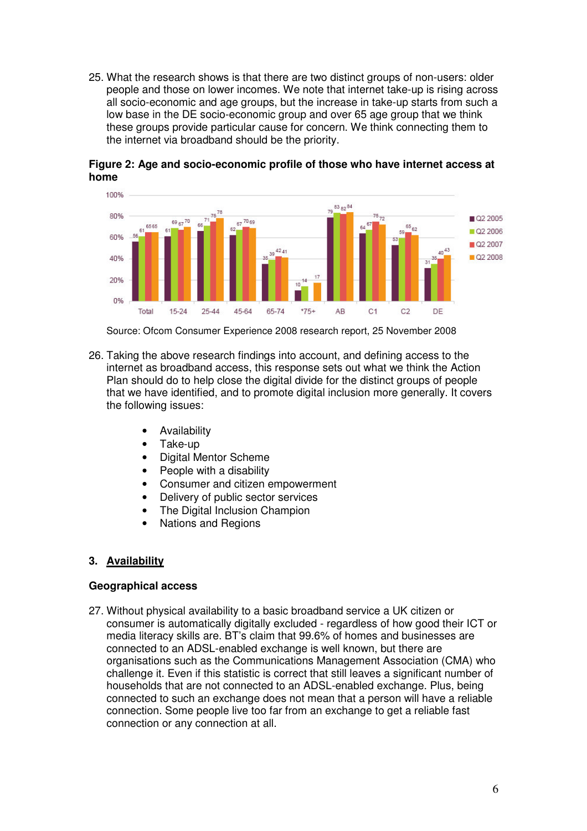25. What the research shows is that there are two distinct groups of non-users: older people and those on lower incomes. We note that internet take-up is rising across all socio-economic and age groups, but the increase in take-up starts from such a low base in the DE socio-economic group and over 65 age group that we think these groups provide particular cause for concern. We think connecting them to the internet via broadband should be the priority.

![](_page_5_Figure_1.jpeg)

**Figure 2: Age and socio-economic profile of those who have internet access at home**

Source: Ofcom Consumer Experience 2008 research report, 25 November 2008

- 26. Taking the above research findings into account, and defining access to the internet as broadband access, this response sets out what we think the Action Plan should do to help close the digital divide for the distinct groups of people that we have identified, and to promote digital inclusion more generally. It covers the following issues:
	- Availability
	- Take-up
	- Digital Mentor Scheme
	- People with a disability
	- Consumer and citizen empowerment
	- Delivery of public sector services
	- The Digital Inclusion Champion
	- Nations and Regions

# **3. Availability**

### **Geographical access**

27. Without physical availability to a basic broadband service a UK citizen or consumer is automatically digitally excluded - regardless of how good their ICT or media literacy skills are. BT's claim that 99.6% of homes and businesses are connected to an ADSL-enabled exchange is well known, but there are organisations such as the Communications Management Association (CMA) who challenge it. Even if this statistic is correct that still leaves a significant number of households that are not connected to an ADSL-enabled exchange. Plus, being connected to such an exchange does not mean that a person will have a reliable connection. Some people live too far from an exchange to get a reliable fast connection or any connection at all.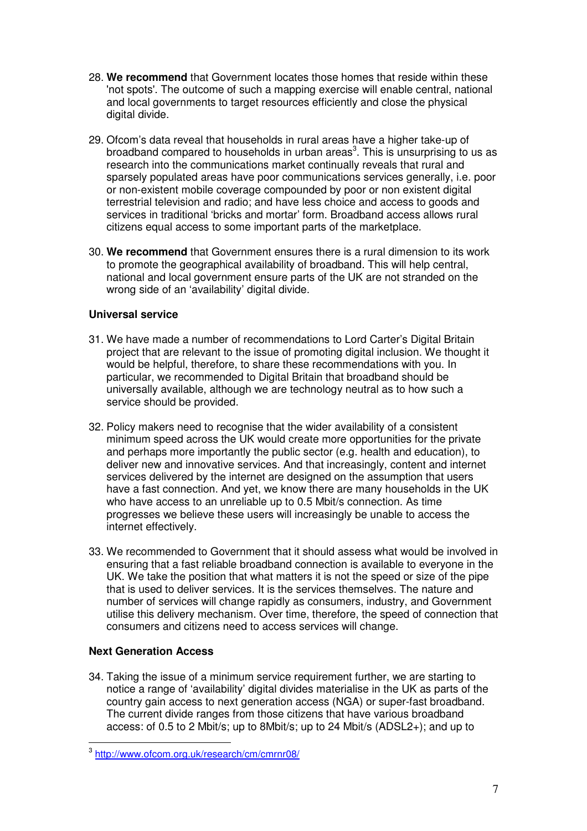- 28. **We recommend** that Government locates those homes that reside within these 'not spots'. The outcome of such a mapping exercise will enable central, national and local governments to target resources efficiently and close the physical digital divide.
- 29. Ofcom's data reveal that households in rural areas have a higher take-up of broadband compared to households in urban areas<sup>3</sup>. This is unsurprising to us as research into the communications market continually reveals that rural and sparsely populated areas have poor communications services generally, i.e. poor or non-existent mobile coverage compounded by poor or non existent digital terrestrial television and radio; and have less choice and access to goods and services in traditional 'bricks and mortar' form. Broadband access allows rural citizens equal access to some important parts of the marketplace.
- 30. **We recommend** that Government ensures there is a rural dimension to its work to promote the geographical availability of broadband. This will help central, national and local government ensure parts of the UK are not stranded on the wrong side of an 'availability' digital divide.

# **Universal service**

- 31. We have made a number of recommendations to Lord Carter's Digital Britain project that are relevant to the issue of promoting digital inclusion. We thought it would be helpful, therefore, to share these recommendations with you. In particular, we recommended to Digital Britain that broadband should be universally available, although we are technology neutral as to how such a service should be provided.
- 32. Policy makers need to recognise that the wider availability of a consistent minimum speed across the UK would create more opportunities for the private and perhaps more importantly the public sector (e.g. health and education), to deliver new and innovative services. And that increasingly, content and internet services delivered by the internet are designed on the assumption that users have a fast connection. And yet, we know there are many households in the UK who have access to an unreliable up to 0.5 Mbit/s connection. As time progresses we believe these users will increasingly be unable to access the internet effectively.
- 33. We recommended to Government that it should assess what would be involved in ensuring that a fast reliable broadband connection is available to everyone in the UK. We take the position that what matters it is not the speed or size of the pipe that is used to deliver services. It is the services themselves. The nature and number of services will change rapidly as consumers, industry, and Government utilise this delivery mechanism. Over time, therefore, the speed of connection that consumers and citizens need to access services will change.

# **Next Generation Access**

34. Taking the issue of a minimum service requirement further, we are starting to notice a range of 'availability' digital divides materialise in the UK as parts of the country gain access to next generation access (NGA) or super-fast broadband. The current divide ranges from those citizens that have various broadband access: of 0.5 to 2 Mbit/s; up to 8Mbit/s; up to 24 Mbit/s (ADSL2+); and up to

<sup>&</sup>lt;sup>3</sup> http://www.ofcom.org.uk/research/cm/cmrnr08/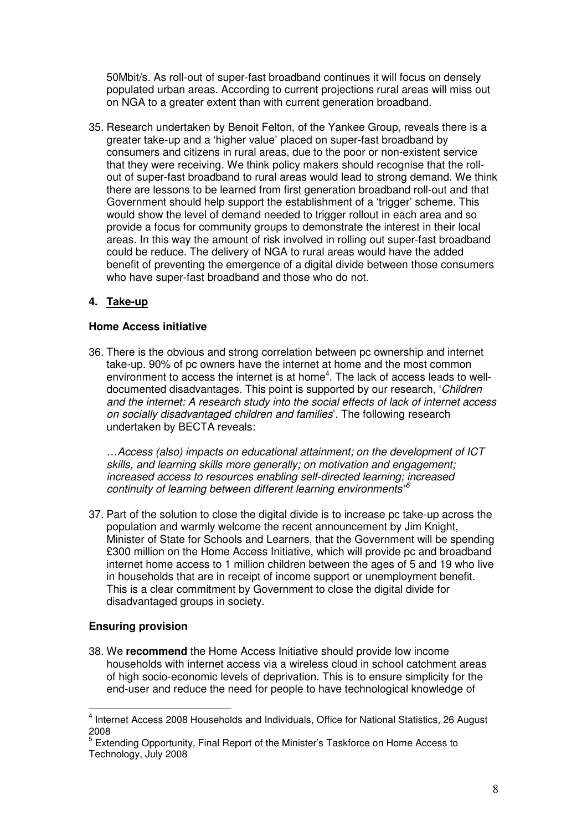50Mbit/s. As roll-out of super-fast broadband continues it will focus on densely populated urban areas. According to current projections rural areas will miss out on NGA to a greater extent than with current generation broadband.

35. Research undertaken by Benoit Felton, of the Yankee Group, reveals there is a greater take-up and a 'higher value' placed on super-fast broadband by consumers and citizens in rural areas, due to the poor or non-existent service that they were receiving. We think policy makers should recognise that the rollout of super-fast broadband to rural areas would lead to strong demand. We think there are lessons to be learned from first generation broadband roll-out and that Government should help support the establishment of a 'trigger' scheme. This would show the level of demand needed to trigger rollout in each area and so provide a focus for community groups to demonstrate the interest in their local areas. In this way the amount of risk involved in rolling out super-fast broadband could be reduce. The delivery of NGA to rural areas would have the added benefit of preventing the emergence of a digital divide between those consumers who have super-fast broadband and those who do not.

# **4. Take-up**

### **Home Access initiative**

36. There is the obvious and strong correlation between pc ownership and internet take-up. 90% of pc owners have the internet at home and the most common environment to access the internet is at home<sup>4</sup>. The lack of access leads to welldocumented disadvantages. This point is supported by our research, '*Children and the internet: A research study into the social effects of lack of internet access on socially disadvantaged children and families*'. The following research undertaken by BECTA reveals:

*…Access (also) impacts on educational attainment; on the development of ICT skills, and learning skills more generally; on motivation and engagement; increased access to resources enabling self-directed learning; increased continuity of learning between different learning environments" 5*

37. Part of the solution to close the digital divide is to increase pc take-up across the population and warmly welcome the recent announcement by Jim Knight, Minister of State for Schools and Learners, that the Government will be spending £300 million on the Home Access Initiative, which will provide pc and broadband internet home access to 1 million children between the ages of 5 and 19 who live in households that are in receipt of income support or unemployment benefit. This is a clear commitment by Government to close the digital divide for disadvantaged groups in society.

# **Ensuring provision**

38. We **recommend** the Home Access Initiative should provide low income households with internet access via a wireless cloud in school catchment areas of high socio-economic levels of deprivation. This is to ensure simplicity for the end-user and reduce the need for people to have technological knowledge of

<sup>&</sup>lt;sup>4</sup> Internet Access 2008 Households and Individuals, Office for National Statistics, 26 August 2008

<sup>&</sup>lt;sup>5</sup> Extending Opportunity, Final Report of the Minister's Taskforce on Home Access to Technology, July 2008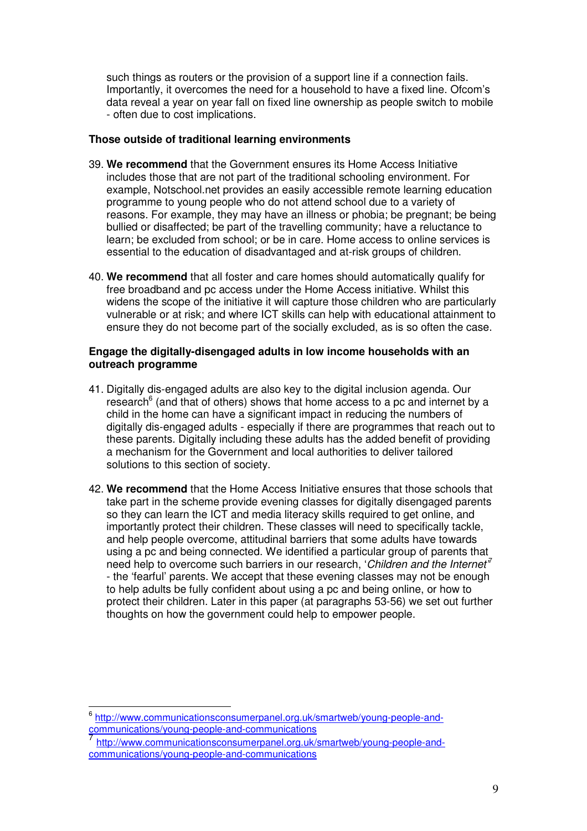such things as routers or the provision of a support line if a connection fails. Importantly, it overcomes the need for a household to have a fixed line. Ofcom's data reveal a year on year fall on fixed line ownership as people switch to mobile - often due to cost implications.

### **Those outside of traditional learning environments**

- 39. **We recommend** that the Government ensures its Home Access Initiative includes those that are not part of the traditional schooling environment. For example, Notschool.net provides an easily accessible remote learning education programme to young people who do not attend school due to a variety of reasons. For example, they may have an illness or phobia; be pregnant; be being bullied or disaffected; be part of the travelling community; have a reluctance to learn; be excluded from school; or be in care. Home access to online services is essential to the education of disadvantaged and at-risk groups of children.
- 40. **We recommend** that all foster and care homes should automatically qualify for free broadband and pc access under the Home Access initiative. Whilst this widens the scope of the initiative it will capture those children who are particularly vulnerable or at risk; and where ICT skills can help with educational attainment to ensure they do not become part of the socially excluded, as is so often the case.

#### **Engage the digitally-disengaged adults in low income households with an outreach programme**

- 41. Digitally dis-engaged adults are also key to the digital inclusion agenda. Our research<sup>6</sup> (and that of others) shows that home access to a pc and internet by a child in the home can have a significant impact in reducing the numbers of digitally dis-engaged adults - especially if there are programmes that reach out to these parents. Digitally including these adults has the added benefit of providing a mechanism for the Government and local authorities to deliver tailored solutions to this section of society.
- 42. **We recommend** that the Home Access Initiative ensures that those schools that take part in the scheme provide evening classes for digitally disengaged parents so they can learn the ICT and media literacy skills required to get online, and importantly protect their children. These classes will need to specifically tackle, and help people overcome, attitudinal barriers that some adults have towards using a pc and being connected. We identified a particular group of parents that need help to overcome such barriers in our research, '*Children and the Internet'* 7 - the 'fearful' parents. We accept that these evening classes may not be enough to help adults be fully confident about using a pc and being online, or how to protect their children. Later in this paper (at paragraphs 53-56) we set out further thoughts on how the government could help to empower people.

<sup>&</sup>lt;sup>6</sup> http://www.communicationsconsumerpanel.org.uk/smartweb/young-people-andcommunications/young-people-and-communications

<sup>7</sup> http://www.communicationsconsumerpanel.org.uk/smartweb/young-people-andcommunications/young-people-and-communications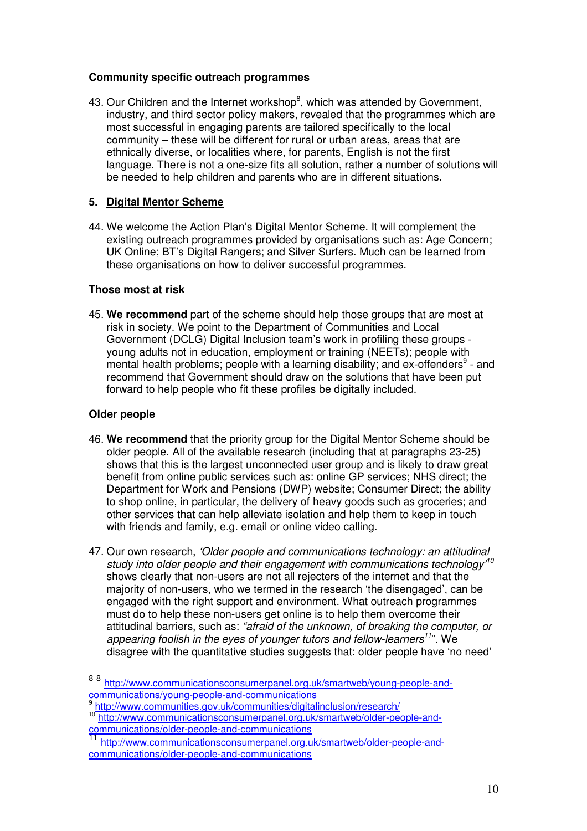### **Community specific outreach programmes**

43. Our Children and the Internet workshop $8$ , which was attended by Government, industry, and third sector policy makers, revealed that the programmes which are most successful in engaging parents are tailored specifically to the local community – these will be different for rural or urban areas, areas that are ethnically diverse, or localities where, for parents, English is not the first language. There is not a one-size fits all solution, rather a number of solutions will be needed to help children and parents who are in different situations.

# **5. Digital Mentor Scheme**

44. We welcome the Action Plan's Digital Mentor Scheme. It will complement the existing outreach programmes provided by organisations such as: Age Concern; UK Online; BT's Digital Rangers; and Silver Surfers. Much can be learned from these organisations on how to deliver successful programmes.

### **Those most at risk**

45. **We recommend** part of the scheme should help those groups that are most at risk in society. We point to the Department of Communities and Local Government (DCLG) Digital Inclusion team's work in profiling these groups young adults not in education, employment or training (NEETs); people with mental health problems; people with a learning disability; and ex-offenders $9$  - and recommend that Government should draw on the solutions that have been put forward to help people who fit these profiles be digitally included.

### **Older people**

- 46. **We recommend** that the priority group for the Digital Mentor Scheme should be older people. All of the available research (including that at paragraphs 23-25) shows that this is the largest unconnected user group and is likely to draw great benefit from online public services such as: online GP services; NHS direct; the Department for Work and Pensions (DWP) website; Consumer Direct; the ability to shop online, in particular, the delivery of heavy goods such as groceries; and other services that can help alleviate isolation and help them to keep in touch with friends and family, e.g. email or online video calling.
- 47. Our own research, *'Older people and communications technology: an attitudinal study into older people and their engagement with communications technology' 10* shows clearly that non-users are not all rejecters of the internet and that the majority of non-users, who we termed in the research 'the disengaged', can be engaged with the right support and environment. What outreach programmes must do to help these non-users get online is to help them overcome their attitudinal barriers, such as: *"afraid of the unknown, of breaking the computer, or appearing foolish in the eyes of younger tutors and fellow-learners 11* ". We disagree with the quantitative studies suggests that: older people have 'no need'

<sup>&</sup>lt;sup>8 8</sup> http://www.communicationsconsumerpanel.org.uk/smartweb/young-people-andcommunications/young-people-and-communications 9

http://www.communities.gov.uk/communities/digitalinclusion/research/

<sup>&</sup>lt;sup>10</sup> http://www.communicationsconsumerpanel.org.uk/smartweb/older-people-andcommunications/older-people-and-communications 11

http://www.communicationsconsumerpanel.org.uk/smartweb/older-people-andcommunications/older-people-and-communications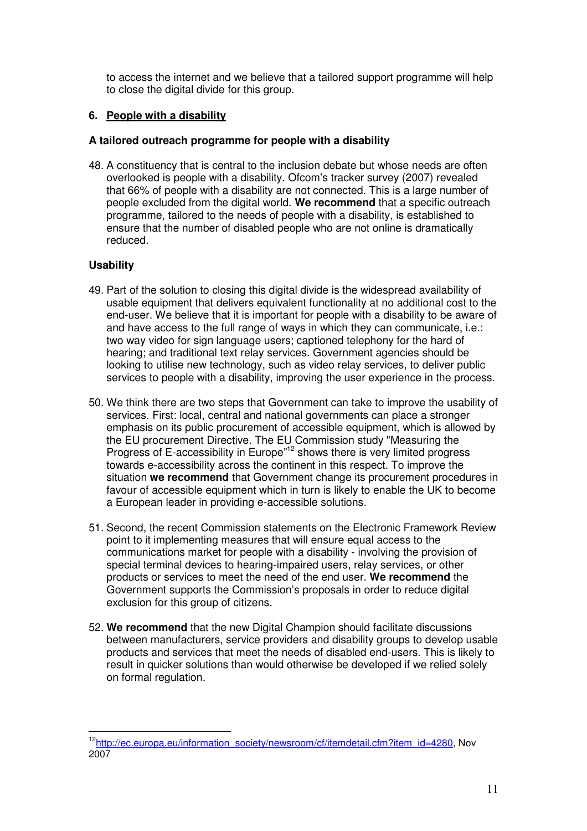to access the internet and we believe that a tailored support programme will help to close the digital divide for this group.

# **6. People with a disability**

### **A tailored outreach programme for people with a disability**

48. A constituency that is central to the inclusion debate but whose needs are often overlooked is people with a disability. Ofcom's tracker survey (2007) revealed that 66% of people with a disability are not connected. This is a large number of people excluded from the digital world. **We recommend** that a specific outreach programme, tailored to the needs of people with a disability, is established to ensure that the number of disabled people who are not online is dramatically reduced.

### **Usability**

- 49. Part of the solution to closing this digital divide is the widespread availability of usable equipment that delivers equivalent functionality at no additional cost to the end-user. We believe that it is important for people with a disability to be aware of and have access to the full range of ways in which they can communicate, i.e.: two way video for sign language users; captioned telephony for the hard of hearing; and traditional text relay services. Government agencies should be looking to utilise new technology, such as video relay services, to deliver public services to people with a disability, improving the user experience in the process.
- 50. We think there are two steps that Government can take to improve the usability of services. First: local, central and national governments can place a stronger emphasis on its public procurement of accessible equipment, which is allowed by the EU procurement Directive. The EU Commission study "Measuring the Progress of E-accessibility in Europe"<sup>12</sup> shows there is very limited progress towards e-accessibility across the continent in this respect. To improve the situation **we recommend** that Government change its procurement procedures in favour of accessible equipment which in turn is likely to enable the UK to become a European leader in providing e-accessible solutions.
- 51. Second, the recent Commission statements on the Electronic Framework Review point to it implementing measures that will ensure equal access to the communications market for people with a disability - involving the provision of special terminal devices to hearing-impaired users, relay services, or other products or services to meet the need of the end user. **We recommend** the Government supports the Commission's proposals in order to reduce digital exclusion for this group of citizens.
- 52. **We recommend** that the new Digital Champion should facilitate discussions between manufacturers, service providers and disability groups to develop usable products and services that meet the needs of disabled end-users. This is likely to result in quicker solutions than would otherwise be developed if we relied solely on formal regulation.

<sup>&</sup>lt;sup>12</sup>http://ec.europa.eu/information\_society/newsroom/cf/itemdetail.cfm?item\_id=4280, Nov 2007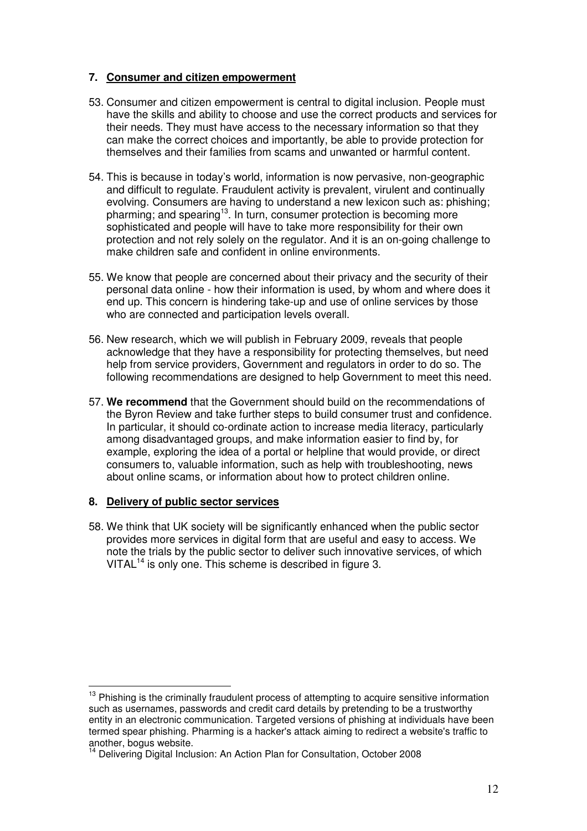### **7. Consumer and citizen empowerment**

- 53. Consumer and citizen empowerment is central to digital inclusion. People must have the skills and ability to choose and use the correct products and services for their needs. They must have access to the necessary information so that they can make the correct choices and importantly, be able to provide protection for themselves and their families from scams and unwanted or harmful content.
- 54. This is because in today's world, information is now pervasive, non-geographic and difficult to regulate. Fraudulent activity is prevalent, virulent and continually evolving. Consumers are having to understand a new lexicon such as: phishing; pharming; and spearing<sup>13</sup>. In turn, consumer protection is becoming more sophisticated and people will have to take more responsibility for their own protection and not rely solely on the regulator. And it is an on-going challenge to make children safe and confident in online environments.
- 55. We know that people are concerned about their privacy and the security of their personal data online - how their information is used, by whom and where does it end up. This concern is hindering take-up and use of online services by those who are connected and participation levels overall.
- 56. New research, which we will publish in February 2009, reveals that people acknowledge that they have a responsibility for protecting themselves, but need help from service providers, Government and regulators in order to do so. The following recommendations are designed to help Government to meet this need.
- 57. **We recommend** that the Government should build on the recommendations of the Byron Review and take further steps to build consumer trust and confidence. In particular, it should co-ordinate action to increase media literacy, particularly among disadvantaged groups, and make information easier to find by, for example, exploring the idea of a portal or helpline that would provide, or direct consumers to, valuable information, such as help with troubleshooting, news about online scams, or information about how to protect children online.

### **8. Delivery of public sector services**

58. We think that UK society will be significantly enhanced when the public sector provides more services in digital form that are useful and easy to access. We note the trials by the public sector to deliver such innovative services, of which VITAL<sup>14</sup> is only one. This scheme is described in figure 3.

<sup>13</sup> Phishing is the criminally fraudulent process of attempting to acquire sensitive information such as usernames, passwords and credit card details by pretending to be a trustworthy entity in an electronic communication. Targeted versions of phishing at individuals have been termed spear phishing. Pharming is a hacker's attack aiming to redirect a website's traffic to another, bogus website.

<sup>&</sup>lt;sup>14</sup> Delivering Digital Inclusion: An Action Plan for Consultation, October 2008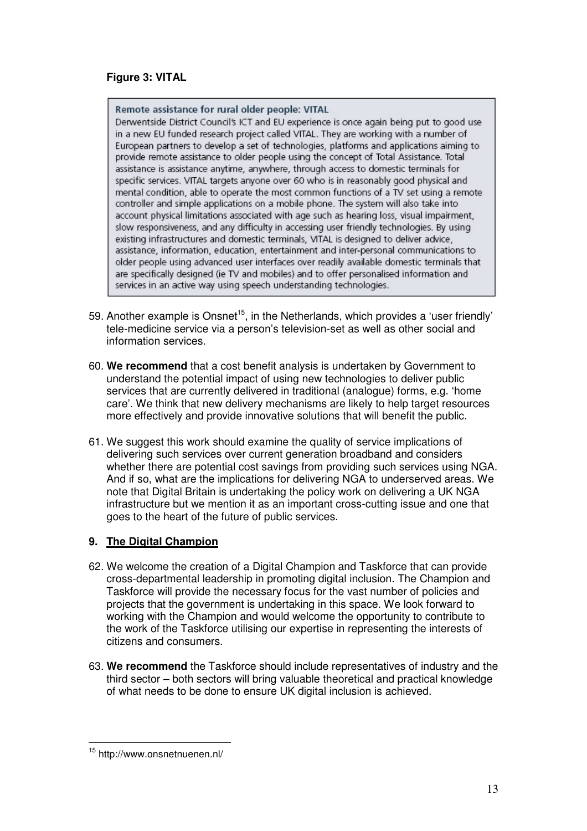# **Figure 3: VITAL**

#### Remote assistance for rural older people: VITAL

Derwentside District Council's ICT and EU experience is once again being put to good use in a new EU funded research project called VITAL. They are working with a number of European partners to develop a set of technologies, platforms and applications aiming to provide remote assistance to older people using the concept of Total Assistance. Total assistance is assistance anytime, anywhere, through access to domestic terminals for specific services. VITAL targets anyone over 60 who is in reasonably good physical and mental condition, able to operate the most common functions of a TV set using a remote controller and simple applications on a mobile phone. The system will also take into account physical limitations associated with age such as hearing loss, visual impairment, slow responsiveness, and any difficulty in accessing user friendly technologies. By using existing infrastructures and domestic terminals, VITAL is designed to deliver advice, assistance, information, education, entertainment and inter-personal communications to older people using advanced user interfaces over readily available domestic terminals that are specifically designed (ie TV and mobiles) and to offer personalised information and services in an active way using speech understanding technologies.

- 59. Another example is Onsnet<sup>15</sup>, in the Netherlands, which provides a 'user friendly' tele-medicine service via a person's television-set as well as other social and information services.
- 60. **We recommend** that a cost benefit analysis is undertaken by Government to understand the potential impact of using new technologies to deliver public services that are currently delivered in traditional (analogue) forms, e.g. 'home care'. We think that new delivery mechanisms are likely to help target resources more effectively and provide innovative solutions that will benefit the public.
- 61. We suggest this work should examine the quality of service implications of delivering such services over current generation broadband and considers whether there are potential cost savings from providing such services using NGA. And if so, what are the implications for delivering NGA to underserved areas. We note that Digital Britain is undertaking the policy work on delivering a UK NGA infrastructure but we mention it as an important cross-cutting issue and one that goes to the heart of the future of public services.

# **9. The Digital Champion**

- 62. We welcome the creation of a Digital Champion and Taskforce that can provide cross-departmental leadership in promoting digital inclusion. The Champion and Taskforce will provide the necessary focus for the vast number of policies and projects that the government is undertaking in this space. We look forward to working with the Champion and would welcome the opportunity to contribute to the work of the Taskforce utilising our expertise in representing the interests of citizens and consumers.
- 63. **We recommend** the Taskforce should include representatives of industry and the third sector – both sectors will bring valuable theoretical and practical knowledge of what needs to be done to ensure UK digital inclusion is achieved.

<sup>&</sup>lt;sup>15</sup> http://www.onsnetnuenen.nl/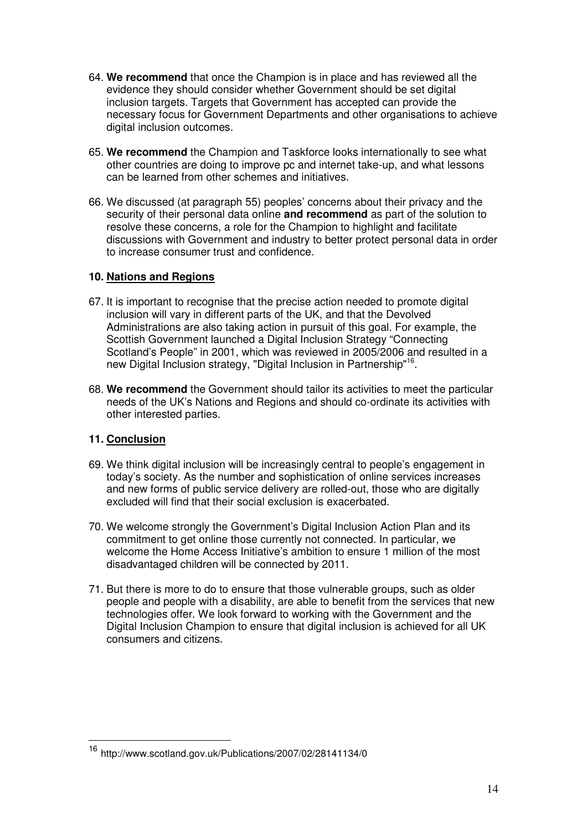- 64. **We recommend** that once the Champion is in place and has reviewed all the evidence they should consider whether Government should be set digital inclusion targets. Targets that Government has accepted can provide the necessary focus for Government Departments and other organisations to achieve digital inclusion outcomes.
- 65. **We recommend** the Champion and Taskforce looks internationally to see what other countries are doing to improve pc and internet take-up, and what lessons can be learned from other schemes and initiatives.
- 66. We discussed (at paragraph 55) peoples' concerns about their privacy and the security of their personal data online **and recommend** as part of the solution to resolve these concerns, a role for the Champion to highlight and facilitate discussions with Government and industry to better protect personal data in order to increase consumer trust and confidence.

### **10. Nations and Regions**

- 67. It is important to recognise that the precise action needed to promote digital inclusion will vary in different parts of the UK, and that the Devolved Administrations are also taking action in pursuit of this goal. For example, the Scottish Government launched a Digital Inclusion Strategy "Connecting Scotland's People" in 2001, which was reviewed in 2005/2006 and resulted in a new Digital Inclusion strategy, "Digital Inclusion in Partnership" 16 .
- 68. **We recommend** the Government should tailor its activities to meet the particular needs of the UK's Nations and Regions and should co-ordinate its activities with other interested parties.

# **11. Conclusion**

- 69. We think digital inclusion will be increasingly central to people's engagement in today's society. As the number and sophistication of online services increases and new forms of public service delivery are rolled-out, those who are digitally excluded will find that their social exclusion is exacerbated.
- 70. We welcome strongly the Government's Digital Inclusion Action Plan and its commitment to get online those currently not connected. In particular, we welcome the Home Access Initiative's ambition to ensure 1 million of the most disadvantaged children will be connected by 2011.
- 71. But there is more to do to ensure that those vulnerable groups, such as older people and people with a disability, are able to benefit from the services that new technologies offer. We look forward to working with the Government and the Digital Inclusion Champion to ensure that digital inclusion is achieved for all UK consumers and citizens.

<sup>16</sup> http://www.scotland.gov.uk/Publications/2007/02/28141134/0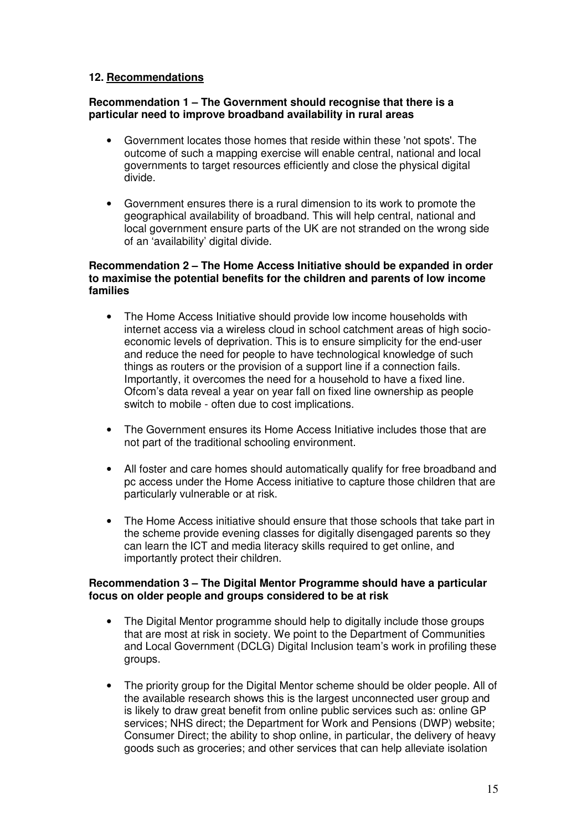# **12. Recommendations**

### **Recommendation 1 – The Government should recognise that there is a particular need to improve broadband availability in rural areas**

- Government locates those homes that reside within these 'not spots'. The outcome of such a mapping exercise will enable central, national and local governments to target resources efficiently and close the physical digital divide.
- Government ensures there is a rural dimension to its work to promote the geographical availability of broadband. This will help central, national and local government ensure parts of the UK are not stranded on the wrong side of an 'availability' digital divide.

### **Recommendation 2 – The Home Access Initiative should be expanded in order to maximise the potential benefits for the children and parents of low income families**

- The Home Access Initiative should provide low income households with internet access via a wireless cloud in school catchment areas of high socioeconomic levels of deprivation. This is to ensure simplicity for the end-user and reduce the need for people to have technological knowledge of such things as routers or the provision of a support line if a connection fails. Importantly, it overcomes the need for a household to have a fixed line. Ofcom's data reveal a year on year fall on fixed line ownership as people switch to mobile - often due to cost implications.
- The Government ensures its Home Access Initiative includes those that are not part of the traditional schooling environment.
- All foster and care homes should automatically qualify for free broadband and pc access under the Home Access initiative to capture those children that are particularly vulnerable or at risk.
- The Home Access initiative should ensure that those schools that take part in the scheme provide evening classes for digitally disengaged parents so they can learn the ICT and media literacy skills required to get online, and importantly protect their children.

### **Recommendation 3 – The Digital Mentor Programme should have a particular focus on older people and groups considered to be at risk**

- The Digital Mentor programme should help to digitally include those groups that are most at risk in society. We point to the Department of Communities and Local Government (DCLG) Digital Inclusion team's work in profiling these groups.
- The priority group for the Digital Mentor scheme should be older people. All of the available research shows this is the largest unconnected user group and is likely to draw great benefit from online public services such as: online GP services; NHS direct; the Department for Work and Pensions (DWP) website; Consumer Direct; the ability to shop online, in particular, the delivery of heavy goods such as groceries; and other services that can help alleviate isolation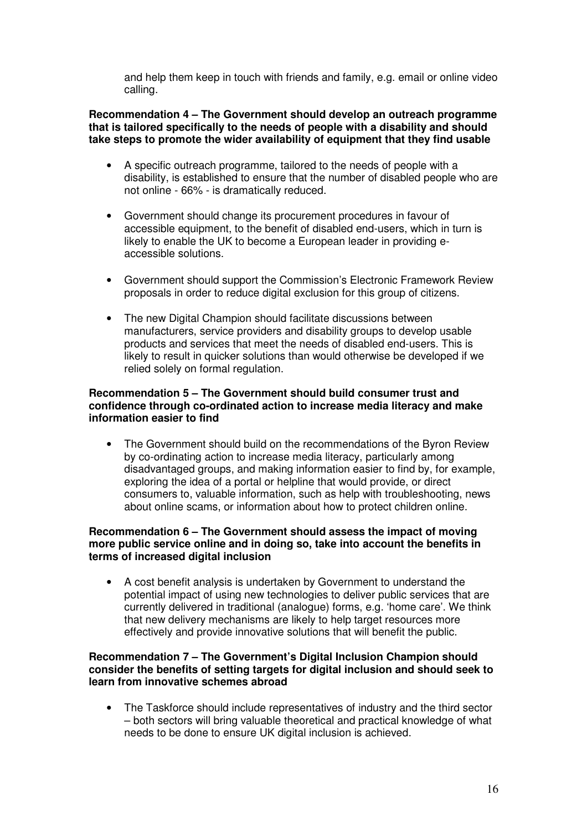and help them keep in touch with friends and family, e.g. email or online video calling.

**Recommendation 4 – The Government should develop an outreach programme that is tailored specifically to the needs of people with a disability and should take steps to promote the wider availability of equipment that they find usable**

- A specific outreach programme, tailored to the needs of people with a disability, is established to ensure that the number of disabled people who are not online - 66% - is dramatically reduced.
- Government should change its procurement procedures in favour of accessible equipment, to the benefit of disabled end-users, which in turn is likely to enable the UK to become a European leader in providing eaccessible solutions.
- Government should support the Commission's Electronic Framework Review proposals in order to reduce digital exclusion for this group of citizens.
- The new Digital Champion should facilitate discussions between manufacturers, service providers and disability groups to develop usable products and services that meet the needs of disabled end-users. This is likely to result in quicker solutions than would otherwise be developed if we relied solely on formal regulation.

### **Recommendation 5 – The Government should build consumer trust and confidence through co-ordinated action to increase media literacy and make information easier to find**

• The Government should build on the recommendations of the Byron Review by co-ordinating action to increase media literacy, particularly among disadvantaged groups, and making information easier to find by, for example, exploring the idea of a portal or helpline that would provide, or direct consumers to, valuable information, such as help with troubleshooting, news about online scams, or information about how to protect children online.

### **Recommendation 6 – The Government should assess the impact of moving more public service online and in doing so, take into account the benefits in terms of increased digital inclusion**

• A cost benefit analysis is undertaken by Government to understand the potential impact of using new technologies to deliver public services that are currently delivered in traditional (analogue) forms, e.g. 'home care'. We think that new delivery mechanisms are likely to help target resources more effectively and provide innovative solutions that will benefit the public.

### **Recommendation 7 – The Government's Digital Inclusion Champion should consider the benefits of setting targets for digital inclusion and should seek to learn from innovative schemes abroad**

• The Taskforce should include representatives of industry and the third sector – both sectors will bring valuable theoretical and practical knowledge of what needs to be done to ensure UK digital inclusion is achieved.